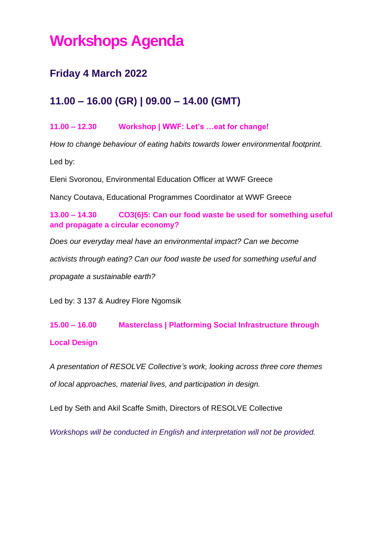# **Workshops Agenda**

### **Friday 4 March 2022**

### **11.00 – 16.00 (GR) | 09.00 – 14.00 (GMT)**

#### **11.00 – 12.30 Workshop | WWF: Let's …eat for change!**

*How to change behaviour of eating habits towards lower environmental footprint.*

Led by:

Eleni Svoronou, Environmental Education Officer at WWF Greece

Nancy Coutava, Educational Programmes Coordinator at WWF Greece

**13.00 – 14.30 CO3(6)5: Can our food waste be used for something useful and propagate a circular economy?**

*Does our everyday meal have an environmental impact? Can we become* 

*activists through eating? Can our food waste be used for something useful and* 

*propagate a sustainable earth?*

Led by: 3 137 & Audrey Flore Ngomsik

## **15.00 – 16.00 Masterclass | Platforming Social Infrastructure through Local Design**

*A presentation of RESOLVE Collective's work, looking across three core themes of local approaches, material lives, and participation in design.*

Led by Seth and Akil Scaffe Smith, Directors of RESOLVE Collective

*Workshops will be conducted in English and interpretation will not be provided.*